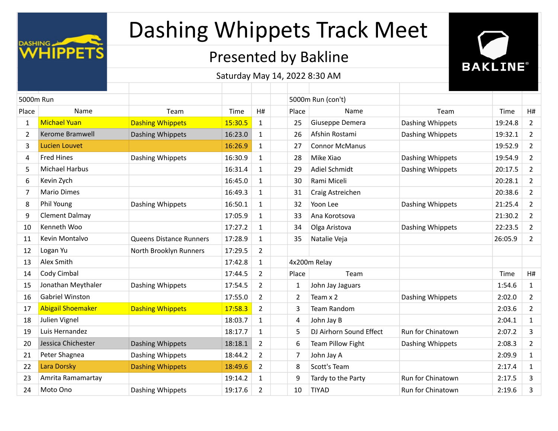

## Presented by Bakline

**BAKLINE®** 

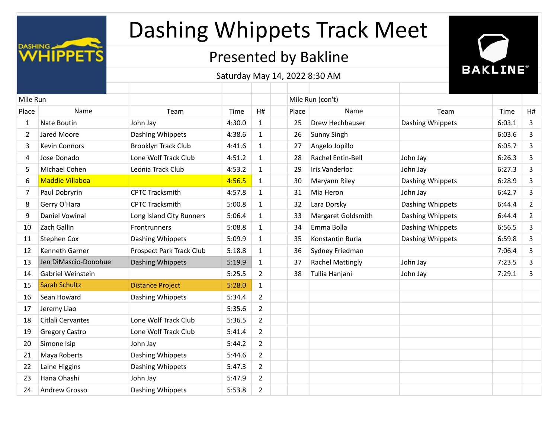

## Presented by Bakline



| Mile Run |                        |                                 |        |                |       | Mile Run (con't)        |                  |        |                |
|----------|------------------------|---------------------------------|--------|----------------|-------|-------------------------|------------------|--------|----------------|
| Place    | Name                   | Team                            | Time   | H#             | Place | Name                    | Team             | Time   | H#             |
| 1        | Nate Boutin            | John Jay                        | 4:30.0 | 1              | 25    | Drew Hechhauser         | Dashing Whippets | 6:03.1 | 3              |
| 2        | Jared Moore            | Dashing Whippets                | 4:38.6 | 1              | 26    | Sunny Singh             |                  | 6:03.6 | 3              |
| 3        | Kevin Connors          | <b>Brooklyn Track Club</b>      | 4:41.6 | 1              | 27    | Angelo Jopillo          |                  | 6:05.7 | $\overline{3}$ |
| 4        | Jose Donado            | Lone Wolf Track Club            | 4:51.2 | $\mathbf{1}$   | 28    | Rachel Entin-Bell       | John Jay         | 6:26.3 | 3              |
| 5        | Michael Cohen          | Leonia Track Club               | 4:53.2 | 1              | 29    | Iris Vanderloc          | John Jay         | 6:27.3 | 3              |
| 6        | <b>Maddie Villaboa</b> |                                 | 4:56.5 | 1              | 30    | Maryann Riley           | Dashing Whippets | 6:28.9 | $\overline{3}$ |
| 7        | Paul Dobryrin          | <b>CPTC Tracksmith</b>          | 4:57.8 | $\mathbf{1}$   | 31    | Mia Heron               | John Jay         | 6:42.7 | 3              |
| 8        | Gerry O'Hara           | <b>CPTC Tracksmith</b>          | 5:00.8 | 1              | 32    | Lara Dorsky             | Dashing Whippets | 6:44.4 | $\overline{2}$ |
| 9        | Daniel Vowinal         | Long Island City Runners        | 5:06.4 | $\mathbf{1}$   | 33    | Margaret Goldsmith      | Dashing Whippets | 6:44.4 | $\overline{2}$ |
| 10       | Zach Gallin            | Frontrunners                    | 5:08.8 | $\mathbf{1}$   | 34    | Emma Bolla              | Dashing Whippets | 6:56.5 | 3              |
| 11       | Stephen Cox            | Dashing Whippets                | 5:09.9 | 1              | 35    | Konstantin Burla        | Dashing Whippets | 6:59.8 | 3              |
| 12       | Kenneth Garner         | <b>Prospect Park Track Club</b> | 5:18.8 | 1              | 36    | Sydney Friedman         |                  | 7:06.4 | 3              |
| 13       | Jen DiMascio-Donohue   | Dashing Whippets                | 5:19.9 | $\mathbf{1}$   | 37    | <b>Rachel Mattingly</b> | John Jay         | 7:23.5 | 3              |
| 14       | Gabriel Weinstein      |                                 | 5:25.5 | $\overline{2}$ | 38    | Tullia Hanjani          | John Jay         | 7:29.1 | 3              |
| 15       | <b>Sarah Schultz</b>   | <b>Distance Project</b>         | 5:28.0 | $\mathbf{1}$   |       |                         |                  |        |                |
| 16       | Sean Howard            | Dashing Whippets                | 5:34.4 | $\overline{2}$ |       |                         |                  |        |                |
| 17       | Jeremy Liao            |                                 | 5:35.6 | $\overline{2}$ |       |                         |                  |        |                |
| 18       | Citlali Cervantes      | Lone Wolf Track Club            | 5:36.5 | $\overline{2}$ |       |                         |                  |        |                |
| 19       | <b>Gregory Castro</b>  | Lone Wolf Track Club            | 5:41.4 | $\overline{2}$ |       |                         |                  |        |                |
| 20       | Simone Isip            | John Jay                        | 5:44.2 | $\overline{2}$ |       |                         |                  |        |                |
| 21       | Maya Roberts           | Dashing Whippets                | 5:44.6 | $\overline{2}$ |       |                         |                  |        |                |
| 22       | Laine Higgins          | Dashing Whippets                | 5:47.3 | $\overline{2}$ |       |                         |                  |        |                |
| 23       | Hana Ohashi            | John Jay                        | 5:47.9 | $\overline{2}$ |       |                         |                  |        |                |
| 24       | Andrew Grosso          | Dashing Whippets                | 5:53.8 | $\overline{2}$ |       |                         |                  |        |                |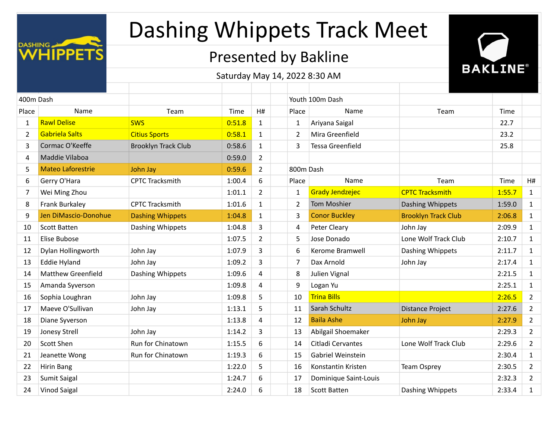

## Presented by Bakline



| 400m Dash      |                           |                            |        |                |                | Youth 100m Dash         |                            |        |                |
|----------------|---------------------------|----------------------------|--------|----------------|----------------|-------------------------|----------------------------|--------|----------------|
| Place          | Name                      | Team                       | Time   | H#             | Place          | Name                    | Team                       | Time   |                |
| $\mathbf{1}$   | <b>Rawl Delise</b>        | <b>SWS</b>                 | 0:51.8 | 1              | 1              | Ariyana Saigal          |                            | 22.7   |                |
| $\overline{2}$ | Gabriela Salts            | <b>Citius Sports</b>       | 0:58.1 | $\mathbf{1}$   | 2              | Mira Greenfield         |                            | 23.2   |                |
| 3              | Cormac O'Keeffe           | <b>Brooklyn Track Club</b> | 0:58.6 | $\mathbf{1}$   | 3              | <b>Tessa Greenfield</b> |                            | 25.8   |                |
| 4              | Maddie Vilaboa            |                            | 0:59.0 | $\overline{2}$ |                |                         |                            |        |                |
| 5              | <b>Mateo Laforestrie</b>  | John Jay                   | 0:59.6 | $\overline{2}$ | 800m Dash      |                         |                            |        |                |
| 6              | Gerry O'Hara              | <b>CPTC Tracksmith</b>     | 1:00.4 | 6              | Place          | Name                    | Team                       | Time   | H#             |
| 7              | Wei Ming Zhou             |                            | 1:01.1 | $\overline{2}$ | 1              | <b>Grady Jendzejec</b>  | <b>CPTC Tracksmith</b>     | 1:55.7 | $\mathbf{1}$   |
| 8              | Frank Burkaley            | <b>CPTC Tracksmith</b>     | 1:01.6 | $\mathbf{1}$   | $\overline{2}$ | <b>Tom Moshier</b>      | Dashing Whippets           | 1:59.0 | $\mathbf{1}$   |
| 9              | Jen DiMascio-Donohue      | <b>Dashing Whippets</b>    | 1:04.8 | $\mathbf{1}$   | 3              | <b>Conor Buckley</b>    | <b>Brooklyn Track Club</b> | 2:06.8 | $\mathbf{1}$   |
| 10             | <b>Scott Batten</b>       | Dashing Whippets           | 1:04.8 | 3              | 4              | Peter Cleary            | John Jay                   | 2:09.9 | $\mathbf{1}$   |
| 11             | Elise Bubose              |                            | 1:07.5 | $\overline{2}$ | 5              | Jose Donado             | Lone Wolf Track Club       | 2:10.7 | $\mathbf{1}$   |
| 12             | Dylan Hollingworth        | John Jay                   | 1:07.9 | 3              | 6              | Kerome Bramwell         | Dashing Whippets           | 2:11.7 | $\mathbf{1}$   |
| 13             | <b>Eddie Hyland</b>       | John Jay                   | 1:09.2 | 3              | $\overline{7}$ | Dax Arnold              | John Jay                   | 2:17.4 | $\mathbf{1}$   |
| 14             | <b>Matthew Greenfield</b> | Dashing Whippets           | 1:09.6 | 4              | 8              | Julien Vignal           |                            | 2:21.5 | $\mathbf{1}$   |
| 15             | Amanda Syverson           |                            | 1:09.8 | 4              | 9              | Logan Yu                |                            | 2:25.1 | $\mathbf{1}$   |
| 16             | Sophia Loughran           | John Jay                   | 1:09.8 | 5              | 10             | <b>Trina Bills</b>      |                            | 2:26.5 | $\overline{2}$ |
| 17             | Maeve O'Sullivan          | John Jay                   | 1:13.1 | 5              | 11             | Sarah Schultz           | <b>Distance Project</b>    | 2:27.6 | $\overline{2}$ |
| 18             | Diane Syverson            |                            | 1:13.8 | $\overline{4}$ | 12             | <b>Baila Ashe</b>       | John Jay                   | 2:27.9 | $\overline{2}$ |
| 19             | Jonesy Strell             | John Jay                   | 1:14.2 | 3              | 13             | Abilgail Shoemaker      |                            | 2:29.3 | $\overline{2}$ |
| 20             | Scott Shen                | Run for Chinatown          | 1:15.5 | 6              | 14             | Citladi Cervantes       | Lone Wolf Track Club       | 2:29.6 | $\overline{2}$ |
| 21             | Jeanette Wong             | Run for Chinatown          | 1:19.3 | 6              | 15             | Gabriel Weinstein       |                            | 2:30.4 | $\mathbf{1}$   |
| 22             | Hirin Bang                |                            | 1:22.0 | 5              | 16             | Konstantin Kristen      | <b>Team Osprey</b>         | 2:30.5 | $\overline{2}$ |
| 23             | Sumit Saigal              |                            | 1:24.7 | 6              | 17             | Dominique Saint-Louis   |                            | 2:32.3 | $\overline{2}$ |
| 24             | <b>Vinod Saigal</b>       |                            | 2:24.0 | 6              | 18             | <b>Scott Batten</b>     | Dashing Whippets           | 2:33.4 | $\mathbf{1}$   |